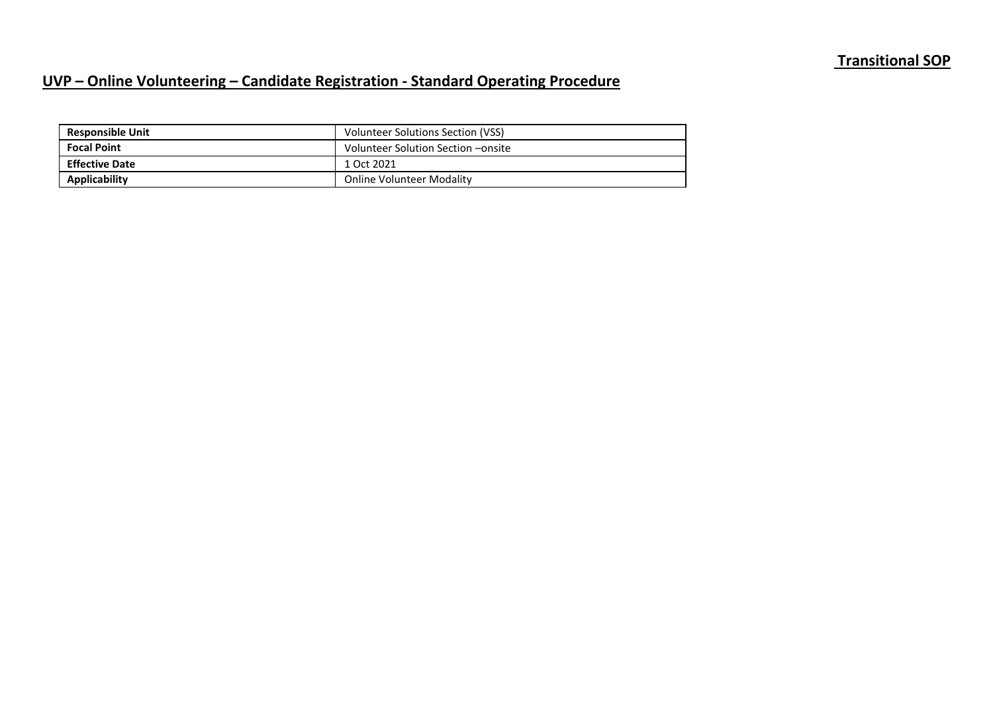## **Transitional SOP**

## **UVP – Online Volunteering – Candidate Registration - Standard Operating Procedure**

| <b>Responsible Unit</b> | Volunteer Solutions Section (VSS)  |
|-------------------------|------------------------------------|
| <b>Focal Point</b>      | Volunteer Solution Section -onsite |
| <b>Effective Date</b>   | 1 Oct 2021                         |
| <b>Applicability</b>    | <b>Online Volunteer Modality</b>   |